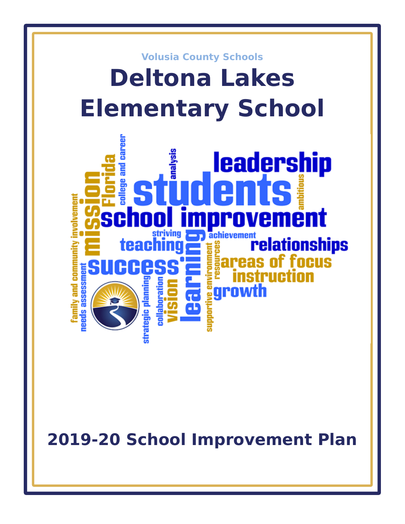

**2019-20 School Improvement Plan**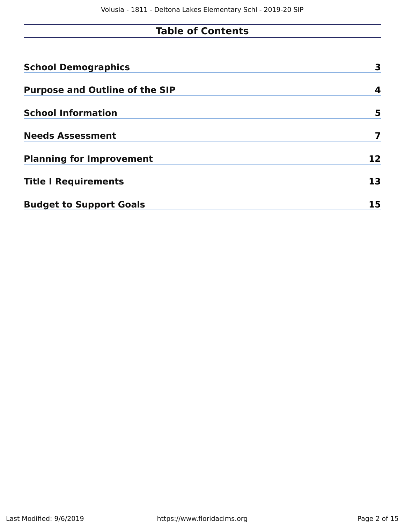# **Table of Contents**

| <b>School Demographics</b>            | 3  |
|---------------------------------------|----|
| <b>Purpose and Outline of the SIP</b> | 4  |
| <b>School Information</b>             | 5  |
| <b>Needs Assessment</b>               | 7  |
| <b>Planning for Improvement</b>       | 12 |
| <b>Title I Requirements</b>           | 13 |
| <b>Budget to Support Goals</b>        | 15 |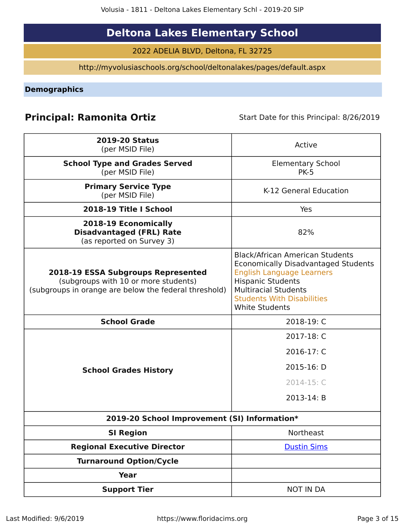# **Deltona Lakes Elementary School**

2022 ADELIA BLVD, Deltona, FL 32725

http://myvolusiaschools.org/school/deltonalakes/pages/default.aspx

<span id="page-2-0"></span>**Demographics**

# **Principal: Ramonita Ortiz** Start Date for this Principal: 8/26/2019

| <b>2019-20 Status</b><br>(per MSID File)                                                                                            | Active                                                                                                                                                                                                                                            |
|-------------------------------------------------------------------------------------------------------------------------------------|---------------------------------------------------------------------------------------------------------------------------------------------------------------------------------------------------------------------------------------------------|
| <b>School Type and Grades Served</b><br>(per MSID File)                                                                             | <b>Elementary School</b><br><b>PK-5</b>                                                                                                                                                                                                           |
| <b>Primary Service Type</b><br>(per MSID File)                                                                                      | K-12 General Education                                                                                                                                                                                                                            |
| 2018-19 Title I School                                                                                                              | Yes                                                                                                                                                                                                                                               |
| 2018-19 Economically<br><b>Disadvantaged (FRL) Rate</b><br>(as reported on Survey 3)                                                | 82%                                                                                                                                                                                                                                               |
| 2018-19 ESSA Subgroups Represented<br>(subgroups with 10 or more students)<br>(subgroups in orange are below the federal threshold) | <b>Black/African American Students</b><br><b>Economically Disadvantaged Students</b><br><b>English Language Learners</b><br><b>Hispanic Students</b><br><b>Multiracial Students</b><br><b>Students With Disabilities</b><br><b>White Students</b> |
| <b>School Grade</b>                                                                                                                 | 2018-19: C                                                                                                                                                                                                                                        |
|                                                                                                                                     | 2017-18: C                                                                                                                                                                                                                                        |
|                                                                                                                                     | 2016-17: C                                                                                                                                                                                                                                        |
| <b>School Grades History</b>                                                                                                        | 2015-16: D                                                                                                                                                                                                                                        |
|                                                                                                                                     | 2014-15: C                                                                                                                                                                                                                                        |
|                                                                                                                                     | 2013-14: B                                                                                                                                                                                                                                        |
| 2019-20 School Improvement (SI) Information*                                                                                        |                                                                                                                                                                                                                                                   |
| <b>SI Region</b>                                                                                                                    | Northeast                                                                                                                                                                                                                                         |
| <b>Regional Executive Director</b>                                                                                                  | <b>Dustin Sims</b>                                                                                                                                                                                                                                |
| <b>Turnaround Option/Cycle</b>                                                                                                      |                                                                                                                                                                                                                                                   |
| <b>Year</b>                                                                                                                         |                                                                                                                                                                                                                                                   |
| <b>Support Tier</b>                                                                                                                 | <b>NOT IN DA</b>                                                                                                                                                                                                                                  |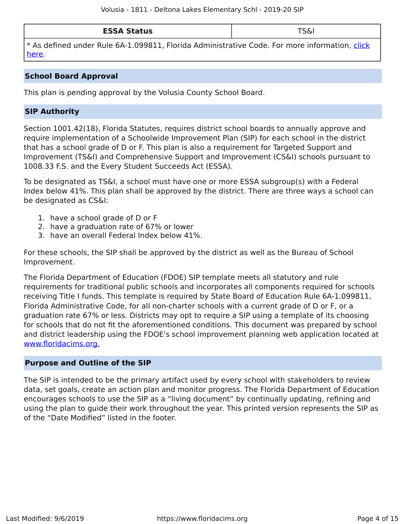| <b>ESSA Status</b> | $\tau$ $\sim$<br>ואכ |
|--------------------|----------------------|
|--------------------|----------------------|

\* As defined under Rule 6A-1.099811, Florida Administrative Code. For more information, [click](/downloads?category=da-forms) [here](/downloads?category=da-forms).

### **School Board Approval**

This plan is pending approval by the Volusia County School Board.

# **SIP Authority**

Section 1001.42(18), Florida Statutes, requires district school boards to annually approve and require implementation of a Schoolwide Improvement Plan (SIP) for each school in the district that has a school grade of D or F. This plan is also a requirement for Targeted Support and Improvement (TS&I) and Comprehensive Support and Improvement (CS&I) schools pursuant to 1008.33 F.S. and the Every Student Succeeds Act (ESSA).

To be designated as TS&I, a school must have one or more ESSA subgroup(s) with a Federal Index below 41%. This plan shall be approved by the district. There are three ways a school can be designated as CS&I:

- 1. have a school grade of D or F
- 2. have a graduation rate of 67% or lower
- 3. have an overall Federal Index below 41%.

For these schools, the SIP shall be approved by the district as well as the Bureau of School Improvement.

The Florida Department of Education (FDOE) SIP template meets all statutory and rule requirements for traditional public schools and incorporates all components required for schools receiving Title I funds. This template is required by State Board of Education Rule 6A-1.099811, Florida Administrative Code, for all non-charter schools with a current grade of D or F, or a graduation rate 67% or less. Districts may opt to require a SIP using a template of its choosing for schools that do not fit the aforementioned conditions. This document was prepared by school and district leadership using the FDOE's school improvement planning web application located at [www.floridacims.org.](https://www.floridacims.org)

### <span id="page-3-0"></span>**Purpose and Outline of the SIP**

The SIP is intended to be the primary artifact used by every school with stakeholders to review data, set goals, create an action plan and monitor progress. The Florida Department of Education encourages schools to use the SIP as a "living document" by continually updating, refining and using the plan to guide their work throughout the year. This printed version represents the SIP as of the "Date Modified" listed in the footer.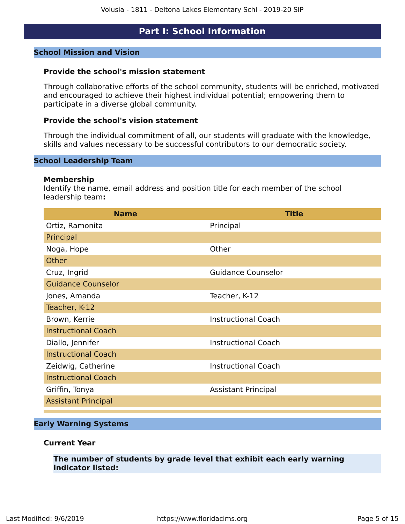# **Part I: School Information**

#### <span id="page-4-0"></span>**School Mission and Vision**

#### **Provide the school's mission statement**

Through collaborative efforts of the school community, students will be enriched, motivated and encouraged to achieve their highest individual potential; empowering them to participate in a diverse global community.

#### **Provide the school's vision statement**

Through the individual commitment of all, our students will graduate with the knowledge, skills and values necessary to be successful contributors to our democratic society.

#### **School Leadership Team**

#### **Membership**

Identify the name, email address and position title for each member of the school leadership team**:**

| <b>Name</b>                | <b>Title</b>               |
|----------------------------|----------------------------|
| Ortiz, Ramonita            | Principal                  |
| Principal                  |                            |
| Noga, Hope                 | Other                      |
| <b>Other</b>               |                            |
| Cruz, Ingrid               | <b>Guidance Counselor</b>  |
| <b>Guidance Counselor</b>  |                            |
| Jones, Amanda              | Teacher, K-12              |
| Teacher, K-12              |                            |
| Brown, Kerrie              | <b>Instructional Coach</b> |
| <b>Instructional Coach</b> |                            |
| Diallo, Jennifer           | <b>Instructional Coach</b> |
| <b>Instructional Coach</b> |                            |
| Zeidwig, Catherine         | <b>Instructional Coach</b> |
| <b>Instructional Coach</b> |                            |
| Griffin, Tonya             | <b>Assistant Principal</b> |
| <b>Assistant Principal</b> |                            |
|                            |                            |

#### **Early Warning Systems**

#### **Current Year**

**The number of students by grade level that exhibit each early warning indicator listed:**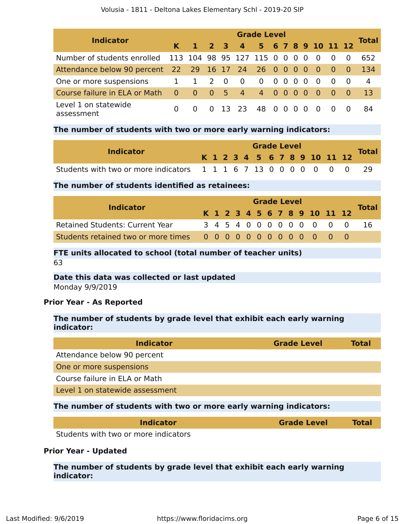#### Volusia - 1811 - Deltona Lakes Elementary Schl - 2019-20 SIP

| <b>Indicator</b>                                        | <b>Grade Level</b> |                  |                                        |  |                            |                          |  |            |          |                |                |  |     |                |
|---------------------------------------------------------|--------------------|------------------|----------------------------------------|--|----------------------------|--------------------------|--|------------|----------|----------------|----------------|--|-----|----------------|
|                                                         | $\mathsf{K}$       |                  |                                        |  | 1 2 3 4 5 6 7 8 9 10 11 12 |                          |  |            |          |                |                |  |     | Total          |
| Number of students enrolled 113 104 98 95 127 115 0 0 0 |                    |                  |                                        |  |                            |                          |  |            |          | $\overline{0}$ | $\overline{0}$ |  |     | 652            |
| Attendance below 90 percent 22 29 16 17 24 26 0 0 0 0 0 |                    |                  |                                        |  |                            |                          |  |            |          |                |                |  | - 0 | -134           |
| One or more suspensions                                 | 1                  | 1 2 0            |                                        |  | $\overline{\mathbf{0}}$    | $0\quad 0\quad 0\quad 0$ |  |            |          | 0              | - 0            |  | - 0 | $\overline{4}$ |
| Course failure in ELA or Math                           | $\overline{0}$     | $\blacksquare$ 0 | $\begin{array}{ccc} 0 & 5 \end{array}$ |  | 4 4 0 0 0                  |                          |  |            |          | - 0            | - 0            |  | - 0 | 13             |
| Level 1 on statewide<br>assessment                      | <sup>0</sup>       |                  |                                        |  | 13 23                      | 48                       |  | $0\quad 0$ | $\Omega$ | $\Omega$       | - 0            |  |     | 84             |

#### **The number of students with two or more early warning indicators:**

| <b>Indicator</b>                                                  |  |  |  | <b>Grade Level</b> |  |  |                              |  | <b>Total</b> |
|-------------------------------------------------------------------|--|--|--|--------------------|--|--|------------------------------|--|--------------|
|                                                                   |  |  |  |                    |  |  | K 1 2 3 4 5 6 7 8 9 10 11 12 |  |              |
| Students with two or more indicators 1 1 1 6 7 13 0 0 0 0 0 0 0 0 |  |  |  |                    |  |  |                              |  |              |

## **The number of students identified as retainees:**

|                                        | <b>Grade Level</b> |  |  |  |  |  |  |  |  |  |  |                              |  |              |
|----------------------------------------|--------------------|--|--|--|--|--|--|--|--|--|--|------------------------------|--|--------------|
| <b>Indicator</b>                       |                    |  |  |  |  |  |  |  |  |  |  | K 1 2 3 4 5 6 7 8 9 10 11 12 |  | <b>Total</b> |
| <b>Retained Students: Current Year</b> |                    |  |  |  |  |  |  |  |  |  |  | 3 4 5 4 0 0 0 0 0 0 0 0 0    |  | -16          |
|                                        |                    |  |  |  |  |  |  |  |  |  |  |                              |  |              |

#### **FTE units allocated to school (total number of teacher units)** 63

# **Date this data was collected or last updated** Monday 9/9/2019

# **Prior Year - As Reported**

# **The number of students by grade level that exhibit each early warning indicator:**

| <b>Indicator</b>                                                  | <b>Grade Level</b> | Total |
|-------------------------------------------------------------------|--------------------|-------|
| Attendance below 90 percent                                       |                    |       |
| One or more suspensions                                           |                    |       |
| Course failure in ELA or Math                                     |                    |       |
| Level 1 on statewide assessment                                   |                    |       |
| The number of students with two or more early warning indicators: |                    |       |

| <b>Indicator</b>                    | <b>Grade Level</b> | <b>Total</b> |
|-------------------------------------|--------------------|--------------|
| udents with two or more indicators. |                    |              |

Students with two or more indicators

# **Prior Year - Updated**

**The number of students by grade level that exhibit each early warning indicator:**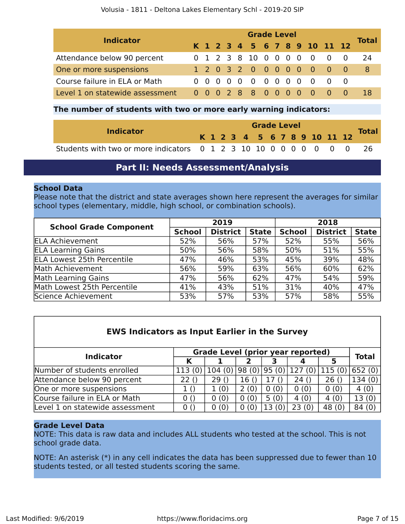| <b>Indicator</b>                | <b>Grade Level</b> |  |  |  |  |                        |  |  |  |  |  |                              |     |       |
|---------------------------------|--------------------|--|--|--|--|------------------------|--|--|--|--|--|------------------------------|-----|-------|
|                                 |                    |  |  |  |  |                        |  |  |  |  |  | K 1 2 3 4 5 6 7 8 9 10 11 12 |     | Total |
| Attendance below 90 percent     |                    |  |  |  |  | 0 1 2 3 8 10 0 0 0 0 0 |  |  |  |  |  | $\overline{0}$               | - 0 | 24    |
| One or more suspensions         |                    |  |  |  |  |                        |  |  |  |  |  | 1 2 0 3 2 0 0 0 0 0 0 0 0    |     | -8    |
| Course failure in ELA or Math   |                    |  |  |  |  | 0 0 0 0 0 0 0 0 0 0    |  |  |  |  |  | $\bigcirc$ 0                 |     |       |
| Level 1 on statewide assessment |                    |  |  |  |  |                        |  |  |  |  |  | 0 0 0 2 8 8 0 0 0 0 0 0 0    |     | 18    |

## **The number of students with two or more early warning indicators:**

|                                                                    |  |  |  | <b>Grade Level</b> |  |  |  |                              |              |
|--------------------------------------------------------------------|--|--|--|--------------------|--|--|--|------------------------------|--------------|
| <b>Indicator</b>                                                   |  |  |  |                    |  |  |  | K 1 2 3 4 5 6 7 8 9 10 11 12 | <b>Total</b> |
| Students with two or more indicators 0 1 2 3 10 10 0 0 0 0 0 0 0 0 |  |  |  |                    |  |  |  |                              |              |

# **Part II: Needs Assessment/Analysis**

### <span id="page-6-0"></span>**School Data**

Please note that the district and state averages shown here represent the averages for similar school types (elementary, middle, high school, or combination schools).

| <b>School Grade Component</b>     |               | 2019            |              | 2018          |                 |              |  |  |  |  |
|-----------------------------------|---------------|-----------------|--------------|---------------|-----------------|--------------|--|--|--|--|
|                                   | <b>School</b> | <b>District</b> | <b>State</b> | <b>School</b> | <b>District</b> | <b>State</b> |  |  |  |  |
| <b>ELA Achievement</b>            | 52%           | 56%             | 57%          | 52%           | 55%             | 56%          |  |  |  |  |
| <b>ELA Learning Gains</b>         | 50%           | 56%             | 58%          | 50%           | 51%             | 55%          |  |  |  |  |
| <b>ELA Lowest 25th Percentile</b> | 47%           | 46%             | 53%          | 45%           | 39%             | 48%          |  |  |  |  |
| Math Achievement                  | 56%           | 59%             | 63%          | 56%           | 60%             | 62%          |  |  |  |  |
| <b>Math Learning Gains</b>        | 47%           | 56%             | 62%          | 47%           | 54%             | 59%          |  |  |  |  |
| Math Lowest 25th Percentile       | 41%           | 43%             | 51%          | 31%           | 40%             | 47%          |  |  |  |  |
| Science Achievement               | 53%           | 57%             | 53%          | 57%           | 58%             | 55%          |  |  |  |  |

| <b>EWS Indicators as Input Earlier in the Survey</b> |        |                                   |       |       |        |        |              |
|------------------------------------------------------|--------|-----------------------------------|-------|-------|--------|--------|--------------|
| <b>Indicator</b>                                     |        | Grade Level (prior year reported) |       |       |        |        | <b>Total</b> |
|                                                      |        |                                   |       |       |        | 5      |              |
| Number of students enrolled                          | 113(0) | 104(0)                            | 98(0) | 95(0) | 127(0) | 115(0) | 652(0)       |
| Attendance below 90 percent                          | 22()   | 29()                              | 16()  | 17()  | 24()   | 26()   | 134(0)       |
| One or more suspensions                              | 1()    | 1(0)                              | 2(0)  | 0(0)  | 0(0)   | 0(0)   | 4(0)         |
| Course failure in ELA or Math                        | 0()    | 0(0)                              | 0(0)  | 5(0)  | 4(0)   | 4(0)   | 13(0)        |
| Level 1 on statewide assessment                      | 0()    | 0(0)                              | 0(0)  | 13(0) | 23(0)  | 48 (0) | 84(0)        |

### **Grade Level Data**

NOTE: This data is raw data and includes ALL students who tested at the school. This is not school grade data.

NOTE: An asterisk (\*) in any cell indicates the data has been suppressed due to fewer than 10 students tested, or all tested students scoring the same.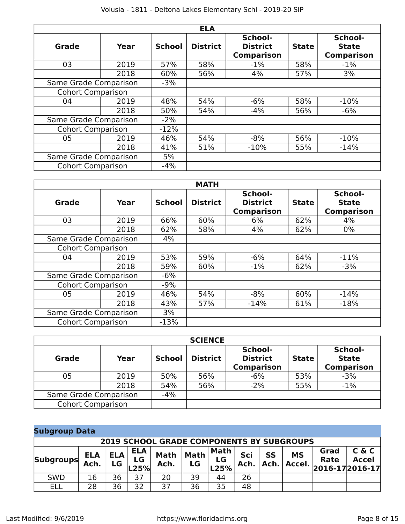|                          |       |               | <b>ELA</b>      |                                                 |              |                                              |
|--------------------------|-------|---------------|-----------------|-------------------------------------------------|--------------|----------------------------------------------|
| <b>Grade</b>             | Year  | <b>School</b> | <b>District</b> | School-<br><b>District</b><br><b>Comparison</b> | <b>State</b> | School-<br><b>State</b><br><b>Comparison</b> |
| 03                       | 2019  | 57%           | 58%             | $-1%$                                           | 58%          | $-1%$                                        |
|                          | 2018  | 60%           | 56%             | 4%                                              | 57%          | 3%                                           |
| Same Grade Comparison    |       | -3%           |                 |                                                 |              |                                              |
| <b>Cohort Comparison</b> |       |               |                 |                                                 |              |                                              |
| 04                       | 2019  | 48%           | 54%             | $-6%$                                           | 58%          | $-10%$                                       |
|                          | 2018  | 50%           | 54%             | $-4%$                                           | 56%          | $-6%$                                        |
| Same Grade Comparison    |       | $-2%$         |                 |                                                 |              |                                              |
| <b>Cohort Comparison</b> |       | $-12%$        |                 |                                                 |              |                                              |
| 05                       | 2019  | 46%           | 54%             | $-8%$                                           | 56%          | $-10%$                                       |
|                          | 2018  | 41%           | 51%             | $-10%$                                          | 55%          | $-14%$                                       |
| Same Grade Comparison    |       | 5%            |                 |                                                 |              |                                              |
| <b>Cohort Comparison</b> | $-4%$ |               |                 |                                                 |              |                                              |

|                          |      |               | <b>MATH</b>     |                                                 |              |                                              |
|--------------------------|------|---------------|-----------------|-------------------------------------------------|--------------|----------------------------------------------|
| <b>Grade</b>             | Year | <b>School</b> | <b>District</b> | School-<br><b>District</b><br><b>Comparison</b> | <b>State</b> | School-<br><b>State</b><br><b>Comparison</b> |
| 03                       | 2019 | 66%           | 60%             | 6%                                              | 62%          | 4%                                           |
|                          | 2018 | 62%           | 58%             | 4%                                              | 62%          | $0\%$                                        |
| Same Grade Comparison    |      | 4%            |                 |                                                 |              |                                              |
| <b>Cohort Comparison</b> |      |               |                 |                                                 |              |                                              |
| 04                       | 2019 | 53%           | 59%             | $-6%$                                           | 64%          | $-11\%$                                      |
|                          | 2018 | 59%           | 60%             | $-1\%$                                          | 62%          | $-3%$                                        |
| Same Grade Comparison    |      | $-6%$         |                 |                                                 |              |                                              |
| <b>Cohort Comparison</b> |      | $-9%$         |                 |                                                 |              |                                              |
| 05                       | 2019 | 46%           | 54%             | $-8%$                                           | 60%          | $-14%$                                       |
|                          | 2018 | 43%           | 57%             | $-14%$                                          | 61%          | $-18%$                                       |
| Same Grade Comparison    |      | 3%            |                 |                                                 |              |                                              |
| <b>Cohort Comparison</b> |      | $-13%$        |                 |                                                 |              |                                              |

|                          |       |               | <b>SCIENCE</b>  |                                                 |              |                                              |
|--------------------------|-------|---------------|-----------------|-------------------------------------------------|--------------|----------------------------------------------|
| <b>Grade</b>             | Year  | <b>School</b> | <b>District</b> | School-<br><b>District</b><br><b>Comparison</b> | <b>State</b> | School-<br><b>State</b><br><b>Comparison</b> |
| 05<br>2019               |       | 50%           | 56%             | $-6%$                                           | 53%          | $-3%$                                        |
| 2018                     |       | 54%           | 56%             | $-2%$                                           | 55%          | $-1\%$                                       |
| Same Grade Comparison    | $-4%$ |               |                 |                                                 |              |                                              |
| <b>Cohort Comparison</b> |       |               |                 |                                                 |              |                                              |

# **Subgroup Data**

|                  | <b>2019 SCHOOL GRADE COMPONENTS BY SUBGROUPS</b> |                  |                          |                     |                   |                      |             |                   |                       |                                             |                       |
|------------------|--------------------------------------------------|------------------|--------------------------|---------------------|-------------------|----------------------|-------------|-------------------|-----------------------|---------------------------------------------|-----------------------|
| <b>Subgroups</b> | <b>ELA</b><br>Ach.                               | <b>ELA</b><br>LG | <b>ELA</b><br>LG<br>L25% | <b>Math</b><br>Ach. | <b>Math</b><br>LG | Math l<br>LG<br>L25% | Sci<br>Ach. | <b>SS</b><br>Ach. | <b>MS</b><br>Accel. . | Grad<br><b>Rate</b><br>$2016 - 172016 - 17$ | C & C<br><b>Accel</b> |
| <b>SWD</b>       | 16                                               | 36               | 37                       | 20                  | 39                | 44                   | 26          |                   |                       |                                             |                       |
| ELl              | 28                                               | 36               | 32                       | 37                  | 36                | 35                   | 48          |                   |                       |                                             |                       |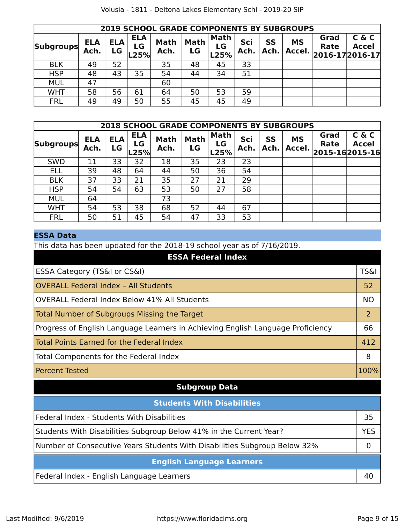|                  | <b>2019 SCHOOL GRADE COMPONENTS BY SUBGROUPS</b> |                  |                          |                     |                   |                           |             |            |                     |                                 |                       |
|------------------|--------------------------------------------------|------------------|--------------------------|---------------------|-------------------|---------------------------|-------------|------------|---------------------|---------------------------------|-----------------------|
| <b>Subgroups</b> | <b>ELA</b><br>Ach.                               | <b>ELA</b><br>LG | <b>ELA</b><br>LG<br>L25% | <b>Math</b><br>Ach. | <b>Math</b><br>LG | <b>Math</b><br>LG<br>L25% | Sci<br>Ach. | SS<br>Ach. | <b>MS</b><br>Accel. | Grad<br>Rate<br>2016-17 2016-17 | C & C<br><b>Accel</b> |
| <b>BLK</b>       | 49                                               | 52               |                          | 35                  | 48                | 45                        | 33          |            |                     |                                 |                       |
| <b>HSP</b>       | 48                                               | 43               | 35                       | 54                  | 44                | 34                        | 51          |            |                     |                                 |                       |
| <b>MUL</b>       | 47                                               |                  |                          | 60                  |                   |                           |             |            |                     |                                 |                       |
| <b>WHT</b>       | 58                                               | 56               | 61                       | 64                  | 50                | 53                        | 59          |            |                     |                                 |                       |
| <b>FRL</b>       | 49                                               | 49               | 50                       | 55                  | 45                | 45                        | 49          |            |                     |                                 |                       |

|                  | <b>2018 SCHOOL GRADE COMPONENTS BY SUBGROUPS</b> |                  |                            |                     |                   |                           |             |                   |                     |              |                                         |
|------------------|--------------------------------------------------|------------------|----------------------------|---------------------|-------------------|---------------------------|-------------|-------------------|---------------------|--------------|-----------------------------------------|
| <b>Subgroups</b> | <b>ELA</b><br>Ach.                               | <b>ELA</b><br>LG | <b>ELA</b><br>LG<br>$-25%$ | <b>Math</b><br>Ach. | <b>Math</b><br>LG | <b>Math</b><br>LG<br>L25% | Sci<br>Ach. | <b>SS</b><br>Ach. | <b>MS</b><br>Accel. | Grad<br>Rate | C & C<br><b>Accel</b><br>2015-162015-16 |
| <b>SWD</b>       | 11                                               | 33               | 32                         | 18                  | 35                | 23                        | 23          |                   |                     |              |                                         |
| <b>ELL</b>       | 39                                               | 48               | 64                         | 44                  | 50                | 36                        | 54          |                   |                     |              |                                         |
| <b>BLK</b>       | 37                                               | 33               | 21                         | 35                  | 27                | 21                        | 29          |                   |                     |              |                                         |
| <b>HSP</b>       | 54                                               | 54               | 63                         | 53                  | 50                | 27                        | 58          |                   |                     |              |                                         |
| <b>MUL</b>       | 64                                               |                  |                            | 73                  |                   |                           |             |                   |                     |              |                                         |
| <b>WHT</b>       | 54                                               | 53               | 38                         | 68                  | 52                | 44                        | 67          |                   |                     |              |                                         |
| <b>FRL</b>       | 50                                               | 51               | 45                         | 54                  | 47                | 33                        | 53          |                   |                     |              |                                         |

# **ESSA Data**

This data has been updated for the 2018-19 school year as of 7/16/2019.

| <b>ESSA Federal Index</b>                                                       |                 |
|---------------------------------------------------------------------------------|-----------------|
| ESSA Category (TS&I or CS&I)                                                    | <b>TS&amp;I</b> |
| <b>OVERALL Federal Index - All Students</b>                                     | 52              |
| <b>OVERALL Federal Index Below 41% All Students</b>                             | <b>NO</b>       |
| Total Number of Subgroups Missing the Target                                    | $\overline{2}$  |
| Progress of English Language Learners in Achieving English Language Proficiency | 66              |
| Total Points Earned for the Federal Index                                       | 412             |
| Total Components for the Federal Index                                          | 8               |
| <b>Percent Tested</b>                                                           | 100%            |
| <b>Subgroup Data</b>                                                            |                 |
| <b>Students With Disabilities</b>                                               |                 |
| Federal Index - Students With Disabilities                                      | 35              |
| Students With Disabilities Subgroup Below 41% in the Current Year?              | <b>YES</b>      |
| Number of Consecutive Years Students With Disabilities Subgroup Below 32%       | 0               |
| <b>English Language Learners</b>                                                |                 |
| Federal Index - English Language Learners                                       | 40              |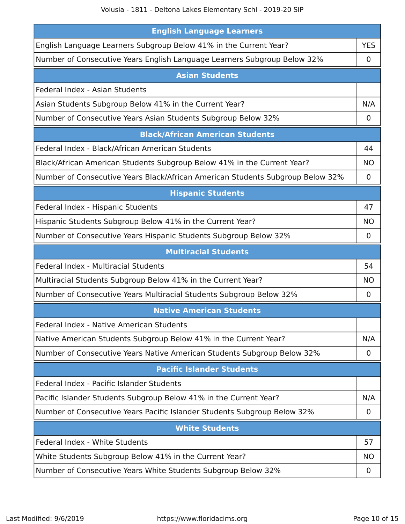| <b>English Language Learners</b>                                               |            |
|--------------------------------------------------------------------------------|------------|
| English Language Learners Subgroup Below 41% in the Current Year?              | <b>YES</b> |
| Number of Consecutive Years English Language Learners Subgroup Below 32%       | 0          |
| <b>Asian Students</b>                                                          |            |
| Federal Index - Asian Students                                                 |            |
| Asian Students Subgroup Below 41% in the Current Year?                         | N/A        |
| Number of Consecutive Years Asian Students Subgroup Below 32%                  | 0          |
| <b>Black/African American Students</b>                                         |            |
| Federal Index - Black/African American Students                                | 44         |
| Black/African American Students Subgroup Below 41% in the Current Year?        | <b>NO</b>  |
| Number of Consecutive Years Black/African American Students Subgroup Below 32% | 0          |
| <b>Hispanic Students</b>                                                       |            |
| Federal Index - Hispanic Students                                              | 47         |
| Hispanic Students Subgroup Below 41% in the Current Year?                      | ΝO         |
| Number of Consecutive Years Hispanic Students Subgroup Below 32%               | $\Omega$   |
| <b>Multiracial Students</b>                                                    |            |
| Federal Index - Multiracial Students                                           | 54         |
| Multiracial Students Subgroup Below 41% in the Current Year?                   | NΟ         |
| Number of Consecutive Years Multiracial Students Subgroup Below 32%            | 0          |
| <b>Native American Students</b>                                                |            |
| Federal Index - Native American Students                                       |            |
| Native American Students Subgroup Below 41% in the Current Year?               | N/A        |
| Number of Consecutive Years Native American Students Subgroup Below 32%        | 0          |
| <b>Pacific Islander Students</b>                                               |            |
| Federal Index - Pacific Islander Students                                      |            |
| Pacific Islander Students Subgroup Below 41% in the Current Year?              | N/A        |
| Number of Consecutive Years Pacific Islander Students Subgroup Below 32%       | 0          |
| <b>White Students</b>                                                          |            |
| Federal Index - White Students                                                 | 57         |
| White Students Subgroup Below 41% in the Current Year?                         | NO.        |
| Number of Consecutive Years White Students Subgroup Below 32%                  | 0          |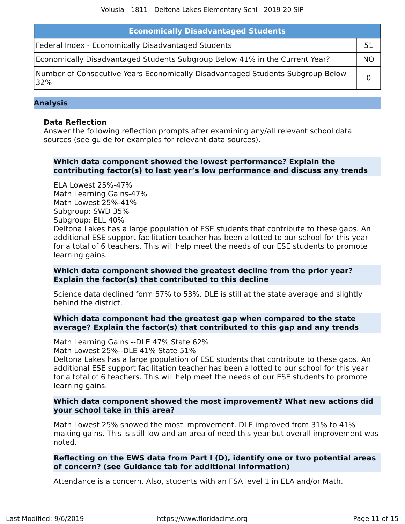| <b>Economically Disadvantaged Students</b>                                            |    |
|---------------------------------------------------------------------------------------|----|
| Federal Index - Economically Disadvantaged Students                                   |    |
| Economically Disadvantaged Students Subgroup Below 41% in the Current Year?           | NO |
| Number of Consecutive Years Economically Disadvantaged Students Subgroup Below<br>32% |    |

#### **Analysis**

#### **Data Reflection**

Answer the following reflection prompts after examining any/all relevant school data sources (see guide for examples for relevant data sources).

## **Which data component showed the lowest performance? Explain the contributing factor(s) to last year's low performance and discuss any trends**

ELA Lowest 25%-47% Math Learning Gains-47% Math Lowest 25%-41% Subgroup: SWD 35% Subgroup: ELL 40% Deltona Lakes has a large population of ESE students that contribute to these gaps. An additional ESE support facilitation teacher has been allotted to our school for this year for a total of 6 teachers. This will help meet the needs of our ESE students to promote learning gains.

#### **Which data component showed the greatest decline from the prior year? Explain the factor(s) that contributed to this decline**

Science data declined form 57% to 53%. DLE is still at the state average and slightly behind the district.

#### **Which data component had the greatest gap when compared to the state average? Explain the factor(s) that contributed to this gap and any trends**

Math Learning Gains --DLE 47% State 62% Math Lowest 25%--DLE 41% State 51%

Deltona Lakes has a large population of ESE students that contribute to these gaps. An additional ESE support facilitation teacher has been allotted to our school for this year for a total of 6 teachers. This will help meet the needs of our ESE students to promote learning gains.

### **Which data component showed the most improvement? What new actions did your school take in this area?**

Math Lowest 25% showed the most improvement. DLE improved from 31% to 41% making gains. This is still low and an area of need this year but overall improvement was noted.

### **Reflecting on the EWS data from Part I (D), identify one or two potential areas of concern? (see Guidance tab for additional information)**

Attendance is a concern. Also, students with an FSA level 1 in ELA and/or Math.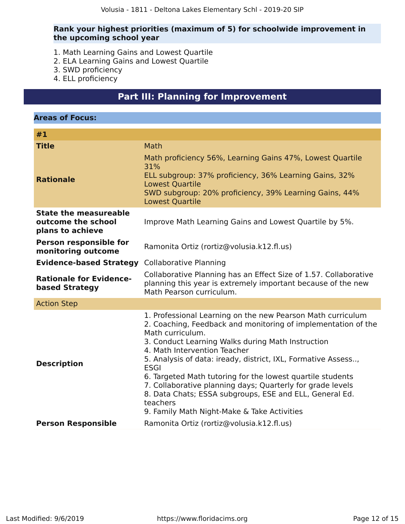### **Rank your highest priorities (maximum of 5) for schoolwide improvement in the upcoming school year**

- 1. Math Learning Gains and Lowest Quartile
- 2. ELA Learning Gains and Lowest Quartile
- 3. SWD proficiency
- 4. ELL proficiency

# **Part III: Planning for Improvement**

<span id="page-11-0"></span>

| #1<br><b>Title</b><br>Math<br>Math proficiency 56%, Learning Gains 47%, Lowest Quartile<br>31%<br>ELL subgroup: 37% proficiency, 36% Learning Gains, 32%<br><b>Rationale</b><br><b>Lowest Quartile</b><br>SWD subgroup: 20% proficiency, 39% Learning Gains, 44%<br><b>Lowest Quartile</b><br><b>State the measureable</b><br>outcome the school<br>Improve Math Learning Gains and Lowest Quartile by 5%.<br>plans to achieve<br><b>Person responsible for</b><br>Ramonita Ortiz (rortiz@volusia.k12.fl.us)<br>monitoring outcome<br><b>Collaborative Planning</b><br><b>Evidence-based Strategy</b><br>Collaborative Planning has an Effect Size of 1.57. Collaborative<br><b>Rationale for Evidence-</b><br>planning this year is extremely important because of the new<br>based Strategy<br>Math Pearson curriculum.<br><b>Action Step</b><br>1. Professional Learning on the new Pearson Math curriculum<br>2. Coaching, Feedback and monitoring of implementation of the<br>Math curriculum.<br>3. Conduct Learning Walks during Math Instruction<br>4. Math Intervention Teacher<br>5. Analysis of data: iready, district, IXL, Formative Assess,<br><b>Description</b><br><b>ESGI</b><br>6. Targeted Math tutoring for the lowest quartile students<br>7. Collaborative planning days; Quarterly for grade levels<br>8. Data Chats; ESSA subgroups, ESE and ELL, General Ed.<br>teachers<br>9. Family Math Night-Make & Take Activities<br><b>Person Responsible</b><br>Ramonita Ortiz (rortiz@volusia.k12.fl.us) | <b>Areas of Focus:</b> |  |
|----------------------------------------------------------------------------------------------------------------------------------------------------------------------------------------------------------------------------------------------------------------------------------------------------------------------------------------------------------------------------------------------------------------------------------------------------------------------------------------------------------------------------------------------------------------------------------------------------------------------------------------------------------------------------------------------------------------------------------------------------------------------------------------------------------------------------------------------------------------------------------------------------------------------------------------------------------------------------------------------------------------------------------------------------------------------------------------------------------------------------------------------------------------------------------------------------------------------------------------------------------------------------------------------------------------------------------------------------------------------------------------------------------------------------------------------------------------------------------------------------------------------------|------------------------|--|
|                                                                                                                                                                                                                                                                                                                                                                                                                                                                                                                                                                                                                                                                                                                                                                                                                                                                                                                                                                                                                                                                                                                                                                                                                                                                                                                                                                                                                                                                                                                            |                        |  |
|                                                                                                                                                                                                                                                                                                                                                                                                                                                                                                                                                                                                                                                                                                                                                                                                                                                                                                                                                                                                                                                                                                                                                                                                                                                                                                                                                                                                                                                                                                                            |                        |  |
|                                                                                                                                                                                                                                                                                                                                                                                                                                                                                                                                                                                                                                                                                                                                                                                                                                                                                                                                                                                                                                                                                                                                                                                                                                                                                                                                                                                                                                                                                                                            |                        |  |
|                                                                                                                                                                                                                                                                                                                                                                                                                                                                                                                                                                                                                                                                                                                                                                                                                                                                                                                                                                                                                                                                                                                                                                                                                                                                                                                                                                                                                                                                                                                            |                        |  |
|                                                                                                                                                                                                                                                                                                                                                                                                                                                                                                                                                                                                                                                                                                                                                                                                                                                                                                                                                                                                                                                                                                                                                                                                                                                                                                                                                                                                                                                                                                                            |                        |  |
|                                                                                                                                                                                                                                                                                                                                                                                                                                                                                                                                                                                                                                                                                                                                                                                                                                                                                                                                                                                                                                                                                                                                                                                                                                                                                                                                                                                                                                                                                                                            |                        |  |
|                                                                                                                                                                                                                                                                                                                                                                                                                                                                                                                                                                                                                                                                                                                                                                                                                                                                                                                                                                                                                                                                                                                                                                                                                                                                                                                                                                                                                                                                                                                            |                        |  |
|                                                                                                                                                                                                                                                                                                                                                                                                                                                                                                                                                                                                                                                                                                                                                                                                                                                                                                                                                                                                                                                                                                                                                                                                                                                                                                                                                                                                                                                                                                                            |                        |  |
|                                                                                                                                                                                                                                                                                                                                                                                                                                                                                                                                                                                                                                                                                                                                                                                                                                                                                                                                                                                                                                                                                                                                                                                                                                                                                                                                                                                                                                                                                                                            |                        |  |
|                                                                                                                                                                                                                                                                                                                                                                                                                                                                                                                                                                                                                                                                                                                                                                                                                                                                                                                                                                                                                                                                                                                                                                                                                                                                                                                                                                                                                                                                                                                            |                        |  |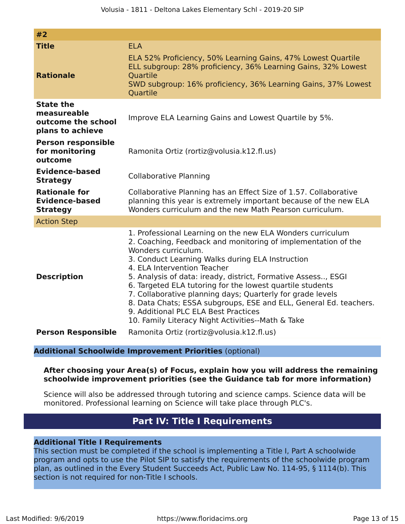| #2                                                                        |                                                                                                                                                                                                                                                                                                                                                                                                                                                                                                                                                                                                     |
|---------------------------------------------------------------------------|-----------------------------------------------------------------------------------------------------------------------------------------------------------------------------------------------------------------------------------------------------------------------------------------------------------------------------------------------------------------------------------------------------------------------------------------------------------------------------------------------------------------------------------------------------------------------------------------------------|
| <b>Title</b>                                                              | <b>ELA</b>                                                                                                                                                                                                                                                                                                                                                                                                                                                                                                                                                                                          |
| <b>Rationale</b>                                                          | ELA 52% Proficiency, 50% Learning Gains, 47% Lowest Quartile<br>ELL subgroup: 28% proficiency, 36% Learning Gains, 32% Lowest<br><b>Quartile</b><br>SWD subgroup: 16% proficiency, 36% Learning Gains, 37% Lowest<br><b>Quartile</b>                                                                                                                                                                                                                                                                                                                                                                |
| <b>State the</b><br>measureable<br>outcome the school<br>plans to achieve | Improve ELA Learning Gains and Lowest Quartile by 5%.                                                                                                                                                                                                                                                                                                                                                                                                                                                                                                                                               |
| <b>Person responsible</b><br>for monitoring<br>outcome                    | Ramonita Ortiz (rortiz@volusia.k12.fl.us)                                                                                                                                                                                                                                                                                                                                                                                                                                                                                                                                                           |
| <b>Evidence-based</b><br><b>Strategy</b>                                  | <b>Collaborative Planning</b>                                                                                                                                                                                                                                                                                                                                                                                                                                                                                                                                                                       |
| <b>Rationale for</b><br><b>Evidence-based</b><br><b>Strategy</b>          | Collaborative Planning has an Effect Size of 1.57. Collaborative<br>planning this year is extremely important because of the new ELA<br>Wonders curriculum and the new Math Pearson curriculum.                                                                                                                                                                                                                                                                                                                                                                                                     |
| <b>Action Step</b>                                                        |                                                                                                                                                                                                                                                                                                                                                                                                                                                                                                                                                                                                     |
| <b>Description</b>                                                        | 1. Professional Learning on the new ELA Wonders curriculum<br>2. Coaching, Feedback and monitoring of implementation of the<br>Wonders curriculum.<br>3. Conduct Learning Walks during ELA Instruction<br>4. ELA Intervention Teacher<br>5. Analysis of data: iready, district, Formative Assess, ESGI<br>6. Targeted ELA tutoring for the lowest quartile students<br>7. Collaborative planning days; Quarterly for grade levels<br>8. Data Chats; ESSA subgroups, ESE and ELL, General Ed. teachers.<br>9. Additional PLC ELA Best Practices<br>10. Family Literacy Night Activities--Math & Take |
| <b>Person Responsible</b>                                                 | Ramonita Ortiz (rortiz@volusia.k12.fl.us)                                                                                                                                                                                                                                                                                                                                                                                                                                                                                                                                                           |

### **Additional Schoolwide Improvement Priorities** (optional)

### **After choosing your Area(s) of Focus, explain how you will address the remaining schoolwide improvement priorities (see the Guidance tab for more information)**

Science will also be addressed through tutoring and science camps. Science data will be monitored. Professional learning on Science will take place through PLC's.

# **Part IV: Title I Requirements**

### <span id="page-12-0"></span>**Additional Title I Requirements**

This section must be completed if the school is implementing a Title I, Part A schoolwide program and opts to use the Pilot SIP to satisfy the requirements of the schoolwide program plan, as outlined in the Every Student Succeeds Act, Public Law No. 114-95, § 1114(b). This section is not required for non-Title I schools.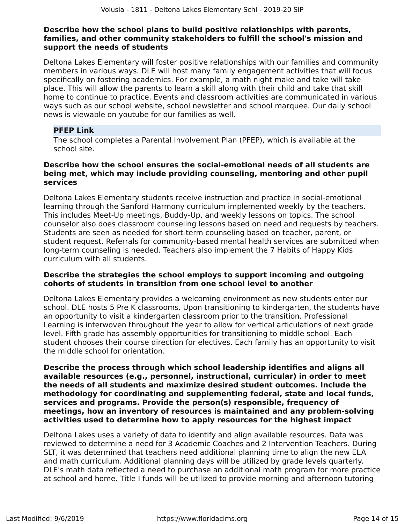### **Describe how the school plans to build positive relationships with parents, families, and other community stakeholders to fulfill the school's mission and support the needs of students**

Deltona Lakes Elementary will foster positive relationships with our families and community members in various ways. DLE will host many family engagement activities that will focus specifically on fostering academics. For example, a math night make and take will take place. This will allow the parents to learn a skill along with their child and take that skill home to continue to practice. Events and classroom activities are communicated in various ways such as our school website, school newsletter and school marquee. Our daily school news is viewable on youtube for our families as well.

# **PFEP Link**

The school completes a Parental Involvement Plan (PFEP), which is available at the school site.

#### **Describe how the school ensures the social-emotional needs of all students are being met, which may include providing counseling, mentoring and other pupil services**

Deltona Lakes Elementary students receive instruction and practice in social-emotional learning through the Sanford Harmony curriculum implemented weekly by the teachers. This includes Meet-Up meetings, Buddy-Up, and weekly lessons on topics. The school counselor also does classroom counseling lessons based on need and requests by teachers. Students are seen as needed for short-term counseling based on teacher, parent, or student request. Referrals for community-based mental health services are submitted when long-term counseling is needed. Teachers also implement the 7 Habits of Happy Kids curriculum with all students.

## **Describe the strategies the school employs to support incoming and outgoing cohorts of students in transition from one school level to another**

Deltona Lakes Elementary provides a welcoming environment as new students enter our school. DLE hosts 5 Pre K classrooms. Upon transitioning to kindergarten, the students have an opportunity to visit a kindergarten classroom prior to the transition. Professional Learning is interwoven throughout the year to allow for vertical articulations of next grade level. Fifth grade has assembly opportunities for transitioning to middle school. Each student chooses their course direction for electives. Each family has an opportunity to visit the middle school for orientation.

**Describe the process through which school leadership identifies and aligns all available resources (e.g., personnel, instructional, curricular) in order to meet the needs of all students and maximize desired student outcomes. Include the methodology for coordinating and supplementing federal, state and local funds, services and programs. Provide the person(s) responsible, frequency of meetings, how an inventory of resources is maintained and any problem-solving activities used to determine how to apply resources for the highest impact**

Deltona Lakes uses a variety of data to identify and align available resources. Data was reviewed to determine a need for 3 Academic Coaches and 2 Intervention Teachers. During SLT, it was determined that teachers need additional planning time to align the new ELA and math curriculum. Additional planning days will be utilized by grade levels quarterly. DLE's math data reflected a need to purchase an additional math program for more practice at school and home. Title I funds will be utilized to provide morning and afternoon tutoring